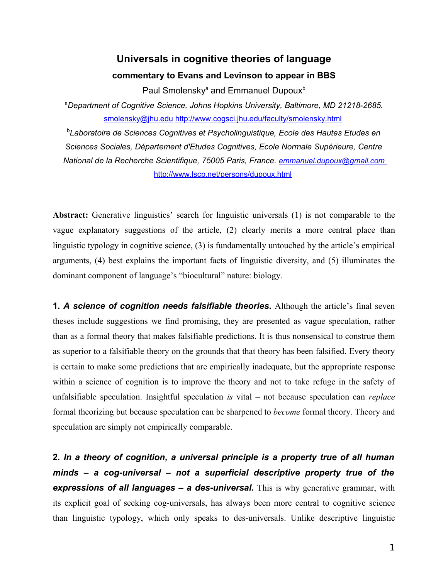## **Universals in cognitive theories of language commentary to Evans and Levinson to appear in BBS**

Paul Smolensky<sup>a</sup> and Emmanuel Dupoux<sup>b</sup>

<sup>a</sup>*Department of Cognitive Science, Johns Hopkins University, Baltimore, MD 21218-2685.* [smolensky@jhu.edu](mailto:smolensky@jhu.edu) <http://www.cogsci.jhu.edu/faculty/smolensky.html>

b *Laboratoire de Sciences Cognitives et Psycholinguistique, Ecole des Hautes Etudes en Sciences Sociales, Département d'Etudes Cognitives, Ecole Normale Supérieure, Centre National de la Recherche Scientifique, 75005 Paris, France. [emmanuel.dupoux@gmail.com](mailto:emmanuel.dupoux@gmail.com)* <http://www.lscp.net/persons/dupoux.html>

**Abstract:** Generative linguistics' search for linguistic universals (1) is not comparable to the vague explanatory suggestions of the article, (2) clearly merits a more central place than linguistic typology in cognitive science, (3) is fundamentally untouched by the article's empirical arguments, (4) best explains the important facts of linguistic diversity, and (5) illuminates the dominant component of language's "biocultural" nature: biology.

**1.** *A science of cognition needs falsifiable theories.* Although the article's final seven theses include suggestions we find promising, they are presented as vague speculation, rather than as a formal theory that makes falsifiable predictions. It is thus nonsensical to construe them as superior to a falsifiable theory on the grounds that that theory has been falsified. Every theory is certain to make some predictions that are empirically inadequate, but the appropriate response within a science of cognition is to improve the theory and not to take refuge in the safety of unfalsifiable speculation. Insightful speculation *is* vital – not because speculation can *replace* formal theorizing but because speculation can be sharpened to *become* formal theory. Theory and speculation are simply not empirically comparable.

**2.** *In a theory of cognition, a universal principle is a property true of all human minds – a cog-universal – not a superficial descriptive property true of the expressions of all languages – a des-universal.* This is why generative grammar, with its explicit goal of seeking cog-universals, has always been more central to cognitive science than linguistic typology, which only speaks to des-universals. Unlike descriptive linguistic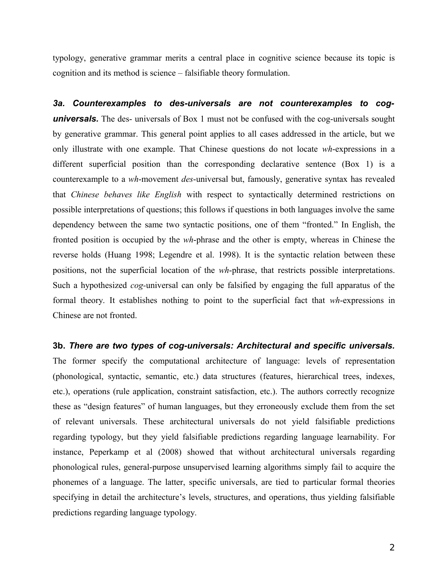typology, generative grammar merits a central place in cognitive science because its topic is cognition and its method is science – falsifiable theory formulation.

*3a. Counterexamples to des-universals are not counterexamples to cog***universals.** The des- universals of Box 1 must not be confused with the cog-universals sought by generative grammar. This general point applies to all cases addressed in the article, but we only illustrate with one example. That Chinese questions do not locate *wh*-expressions in a different superficial position than the corresponding declarative sentence (Box 1) is a counterexample to a *wh*-movement *des*-universal but, famously, generative syntax has revealed that *Chinese behaves like English* with respect to syntactically determined restrictions on possible interpretations of questions; this follows if questions in both languages involve the same dependency between the same two syntactic positions, one of them "fronted." In English, the fronted position is occupied by the *wh*-phrase and the other is empty, whereas in Chinese the reverse holds (Huang 1998; Legendre et al. 1998). It is the syntactic relation between these positions, not the superficial location of the *wh*-phrase, that restricts possible interpretations. Such a hypothesized *cog-*universal can only be falsified by engaging the full apparatus of the formal theory. It establishes nothing to point to the superficial fact that *wh*-expressions in Chinese are not fronted.

## **3b.** *There are two types of cog-universals: Architectural and specific universals.*

The former specify the computational architecture of language: levels of representation (phonological, syntactic, semantic, etc.) data structures (features, hierarchical trees, indexes, etc.), operations (rule application, constraint satisfaction, etc.). The authors correctly recognize these as "design features" of human languages, but they erroneously exclude them from the set of relevant universals. These architectural universals do not yield falsifiable predictions regarding typology, but they yield falsifiable predictions regarding language learnability. For instance, Peperkamp et al (2008) showed that without architectural universals regarding phonological rules, general-purpose unsupervised learning algorithms simply fail to acquire the phonemes of a language. The latter, specific universals, are tied to particular formal theories specifying in detail the architecture's levels, structures, and operations, thus yielding falsifiable predictions regarding language typology.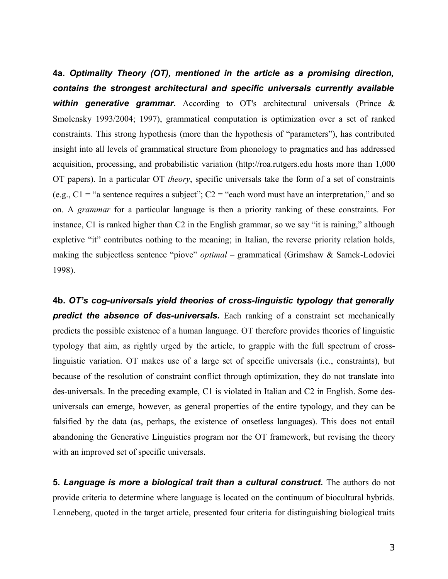**4a.** *Optimality Theory (OT), mentioned in the article as a promising direction, contains the strongest architectural and specific universals currently available* **within generative grammar.** According to OT's architectural universals (Prince & Smolensky 1993/2004; 1997), grammatical computation is optimization over a set of ranked constraints. This strong hypothesis (more than the hypothesis of "parameters"), has contributed insight into all levels of grammatical structure from phonology to pragmatics and has addressed acquisition, processing, and probabilistic variation (http://roa.rutgers.edu hosts more than 1,000 OT papers). In a particular OT *theory*, specific universals take the form of a set of constraints (e.g.,  $C1 =$  "a sentence requires a subject";  $C2 =$  "each word must have an interpretation," and so on. A *grammar* for a particular language is then a priority ranking of these constraints. For instance, C1 is ranked higher than C2 in the English grammar, so we say "it is raining," although expletive "it" contributes nothing to the meaning; in Italian, the reverse priority relation holds, making the subjectless sentence "piove" *optimal –* grammatical (Grimshaw & Samek-Lodovici 1998).

**4b.** *OT's cog-universals yield theories of cross-linguistic typology that generally* **predict the absence of des-universals.** Each ranking of a constraint set mechanically predicts the possible existence of a human language. OT therefore provides theories of linguistic typology that aim, as rightly urged by the article, to grapple with the full spectrum of crosslinguistic variation. OT makes use of a large set of specific universals (i.e., constraints), but because of the resolution of constraint conflict through optimization, they do not translate into des-universals. In the preceding example, C1 is violated in Italian and C2 in English. Some desuniversals can emerge, however, as general properties of the entire typology, and they can be falsified by the data (as, perhaps, the existence of onsetless languages). This does not entail abandoning the Generative Linguistics program nor the OT framework, but revising the theory with an improved set of specific universals.

**5.** *Language is more a biological trait than a cultural construct.* The authors do not provide criteria to determine where language is located on the continuum of biocultural hybrids. Lenneberg, quoted in the target article, presented four criteria for distinguishing biological traits